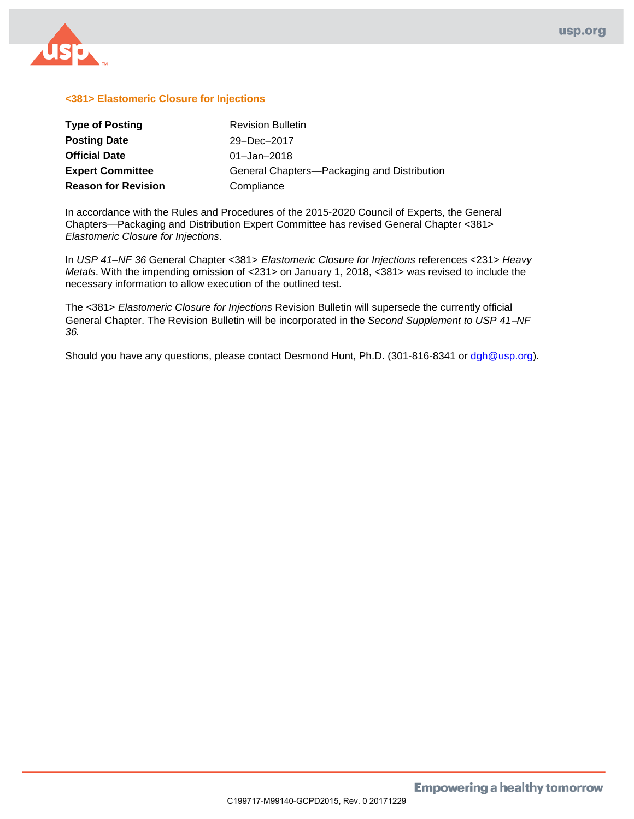

## **<381> Elastomeric Closure for Injections**

| <b>Type of Posting</b>     | <b>Revision Bulletin</b>                    |
|----------------------------|---------------------------------------------|
| <b>Posting Date</b>        | 29-Dec-2017                                 |
| <b>Official Date</b>       | 01-Jan-2018                                 |
| <b>Expert Committee</b>    | General Chapters-Packaging and Distribution |
| <b>Reason for Revision</b> | Compliance                                  |

In accordance with the Rules and Procedures of the 2015-2020 Council of Experts, the General Chapters—Packaging and Distribution Expert Committee has revised General Chapter <381> *Elastomeric Closure for Injections*.

In *USP 41–NF 36* General Chapter <381> *Elastomeric Closure for Injections* references <231> *Heavy Metals*. With the impending omission of <231> on January 1, 2018, <381> was revised to include the necessary information to allow execution of the outlined test.

The <381> *Elastomeric Closure for Injections* Revision Bulletin will supersede the currently official General Chapter. The Revision Bulletin will be incorporated in the *Second Supplement to USP 41*−*NF 36.*

Should you have any questions, please contact Desmond Hunt, Ph.D. (301-816-8341 or [dgh@usp.org\)](mailto:dgh@usp.org).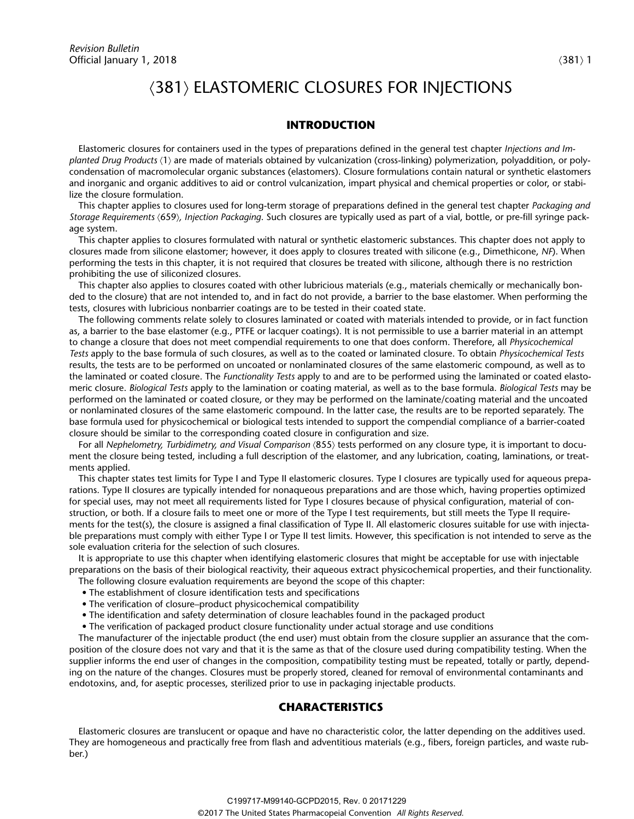# (381) ELASTOMERIC CLOSURES FOR INJECTIONS

## **INTRODUCTION**

Elastomeric closures for containers used in the types of preparations defined in the general test chapter *Injections and Implanted Drug Products*  $\langle 1 \rangle$  are made of materials obtained by vulcanization (cross-linking) polymerization, polyaddition, or polycondensation of macromolecular organic substances (elastomers). Closure formulations contain natural or synthetic elastomers and inorganic and organic additives to aid or control vulcanization, impart physical and chemical properties or color, or stabilize the closure formulation.

This chapter applies to closures used for long-term storage of preparations defined in the general test chapter *Packaging and* Storage Requirements (659), Injection Packaging. Such closures are typically used as part of a vial, bottle, or pre-fill syringe package system.

This chapter applies to closures formulated with natural or synthetic elastomeric substances. This chapter does not apply to closures made from silicone elastomer; however, it does apply to closures treated with silicone (e.g., Dimethicone, *NF*). When performing the tests in this chapter, it is not required that closures be treated with silicone, although there is no restriction prohibiting the use of siliconized closures.

This chapter also applies to closures coated with other lubricious materials (e.g., materials chemically or mechanically bonded to the closure) that are not intended to, and in fact do not provide, a barrier to the base elastomer. When performing the tests, closures with lubricious nonbarrier coatings are to be tested in their coated state.

The following comments relate solely to closures laminated or coated with materials intended to provide, or in fact function as, a barrier to the base elastomer (e.g., PTFE or lacquer coatings). It is not permissible to use a barrier material in an attempt to change a closure that does not meet compendial requirements to one that does conform. Therefore, all *Physicochemical Tests* apply to the base formula of such closures, as well as to the coated or laminated closure. To obtain *Physicochemical Tests* results, the tests are to be performed on uncoated or nonlaminated closures of the same elastomeric compound, as well as to the laminated or coated closure. The *Functionality Tests* apply to and are to be performed using the laminated or coated elastomeric closure. *Biological Tests* apply to the lamination or coating material, as well as to the base formula. *Biological Tests* may be performed on the laminated or coated closure, or they may be performed on the laminate/coating material and the uncoated or nonlaminated closures of the same elastomeric compound. In the latter case, the results are to be reported separately. The base formula used for physicochemical or biological tests intended to support the compendial compliance of a barrier-coated closure should be similar to the corresponding coated closure in configuration and size.

For all *Nephelometry, Turbidimetry, and Visual Comparison*  $(855)$  tests performed on any closure type, it is important to document the closure being tested, including a full description of the elastomer, and any lubrication, coating, laminations, or treatments applied.

This chapter states test limits for Type I and Type II elastomeric closures. Type I closures are typically used for aqueous preparations. Type II closures are typically intended for nonaqueous preparations and are those which, having properties optimized for special uses, may not meet all requirements listed for Type I closures because of physical configuration, material of construction, or both. If a closure fails to meet one or more of the Type I test requirements, but still meets the Type II requirements for the test(s), the closure is assigned a final classification of Type II. All elastomeric closures suitable for use with injectable preparations must comply with either Type I or Type II test limits. However, this specification is not intended to serve as the sole evaluation criteria for the selection of such closures.

It is appropriate to use this chapter when identifying elastomeric closures that might be acceptable for use with injectable preparations on the basis of their biological reactivity, their aqueous extract physicochemical properties, and their functionality.

- The following closure evaluation requirements are beyond the scope of this chapter:
- The establishment of closure identification tests and specifications
- The verification of closure–product physicochemical compatibility
- The identification and safety determination of closure leachables found in the packaged product

• The verification of packaged product closure functionality under actual storage and use conditions The manufacturer of the injectable product (the end user) must obtain from the closure supplier an assurance that the composition of the closure does not vary and that it is the same as that of the closure used during compatibility testing. When the supplier informs the end user of changes in the composition, compatibility testing must be repeated, totally or partly, depending on the nature of the changes. Closures must be properly stored, cleaned for removal of environmental contaminants and endotoxins, and, for aseptic processes, sterilized prior to use in packaging injectable products.

## **CHARACTERISTICS**

Elastomeric closures are translucent or opaque and have no characteristic color, the latter depending on the additives used. They are homogeneous and practically free from flash and adventitious materials (e.g., fibers, foreign particles, and waste rubber.)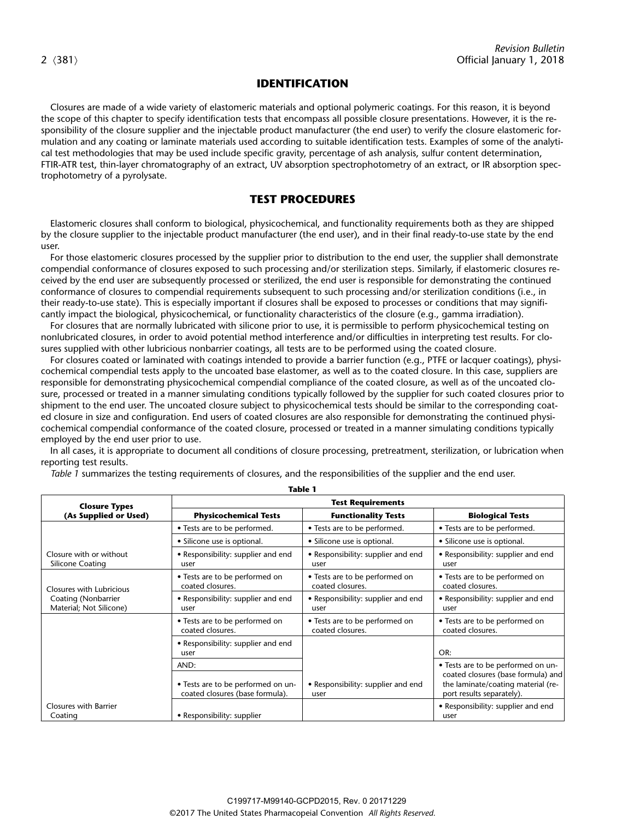## **IDENTIFICATION**

Closures are made of a wide variety of elastomeric materials and optional polymeric coatings. For this reason, it is beyond the scope of this chapter to specify identification tests that encompass all possible closure presentations. However, it is the responsibility of the closure supplier and the injectable product manufacturer (the end user) to verify the closure elastomeric formulation and any coating or laminate materials used according to suitable identification tests. Examples of some of the analytical test methodologies that may be used include specific gravity, percentage of ash analysis, sulfur content determination, FTIR-ATR test, thin-layer chromatography of an extract, UV absorption spectrophotometry of an extract, or IR absorption spectrophotometry of a pyrolysate.

## **TEST PROCEDURES**

Elastomeric closures shall conform to biological, physicochemical, and functionality requirements both as they are shipped by the closure supplier to the injectable product manufacturer (the end user), and in their final ready-to-use state by the end user.

For those elastomeric closures processed by the supplier prior to distribution to the end user, the supplier shall demonstrate compendial conformance of closures exposed to such processing and/or sterilization steps. Similarly, if elastomeric closures received by the end user are subsequently processed or sterilized, the end user is responsible for demonstrating the continued conformance of closures to compendial requirements subsequent to such processing and/or sterilization conditions (i.e., in their ready-to-use state). This is especially important if closures shall be exposed to processes or conditions that may significantly impact the biological, physicochemical, or functionality characteristics of the closure (e.g., gamma irradiation).

For closures that are normally lubricated with silicone prior to use, it is permissible to perform physicochemical testing on nonlubricated closures, in order to avoid potential method interference and/or difficulties in interpreting test results. For closures supplied with other lubricious nonbarrier coatings, all tests are to be performed using the coated closure.

For closures coated or laminated with coatings intended to provide a barrier function (e.g., PTFE or lacquer coatings), physicochemical compendial tests apply to the uncoated base elastomer, as well as to the coated closure. In this case, suppliers are responsible for demonstrating physicochemical compendial compliance of the coated closure, as well as of the uncoated closure, processed or treated in a manner simulating conditions typically followed by the supplier for such coated closures prior to shipment to the end user. The uncoated closure subject to physicochemical tests should be similar to the corresponding coated closure in size and configuration. End users of coated closures are also responsible for demonstrating the continued physicochemical compendial conformance of the coated closure, processed or treated in a manner simulating conditions typically employed by the end user prior to use.

In all cases, it is appropriate to document all conditions of closure processing, pretreatment, sterilization, or lubrication when reporting test results.

*Table 1* summarizes the testing requirements of closures, and the responsibilities of the supplier and the end user.

| <b>Closure Types</b>                                                       | <b>Test Requirements</b>                                              |                                                    |                                                                                                       |  |  |
|----------------------------------------------------------------------------|-----------------------------------------------------------------------|----------------------------------------------------|-------------------------------------------------------------------------------------------------------|--|--|
| (As Supplied or Used)                                                      | <b>Physicochemical Tests</b>                                          | <b>Functionality Tests</b>                         | <b>Biological Tests</b>                                                                               |  |  |
|                                                                            | • Tests are to be performed.                                          | • Tests are to be performed.                       | • Tests are to be performed.                                                                          |  |  |
|                                                                            | • Silicone use is optional.                                           | • Silicone use is optional.                        | • Silicone use is optional.                                                                           |  |  |
| Closure with or without<br>Silicone Coating                                | • Responsibility: supplier and end<br>user                            | • Responsibility: supplier and end<br>user         | • Responsibility: supplier and end<br>user                                                            |  |  |
| Closures with Lubricious<br>Coating (Nonbarrier<br>Material; Not Silicone) | • Tests are to be performed on<br>coated closures.                    | • Tests are to be performed on<br>coated closures. | • Tests are to be performed on<br>coated closures.                                                    |  |  |
|                                                                            | • Responsibility: supplier and end<br>user                            | • Responsibility: supplier and end<br>user         | • Responsibility: supplier and end<br>user                                                            |  |  |
|                                                                            | • Tests are to be performed on<br>coated closures.                    | • Tests are to be performed on<br>coated closures. | • Tests are to be performed on<br>coated closures.                                                    |  |  |
|                                                                            | • Responsibility: supplier and end<br>user                            |                                                    | OR:                                                                                                   |  |  |
|                                                                            | AND:                                                                  |                                                    | • Tests are to be performed on un-                                                                    |  |  |
|                                                                            | • Tests are to be performed on un-<br>coated closures (base formula). | • Responsibility: supplier and end<br>user         | coated closures (base formula) and<br>the laminate/coating material (re-<br>port results separately). |  |  |
| <b>Closures with Barrier</b><br>Coating                                    | • Responsibility: supplier                                            |                                                    | • Responsibility: supplier and end<br>user                                                            |  |  |

**Table 1**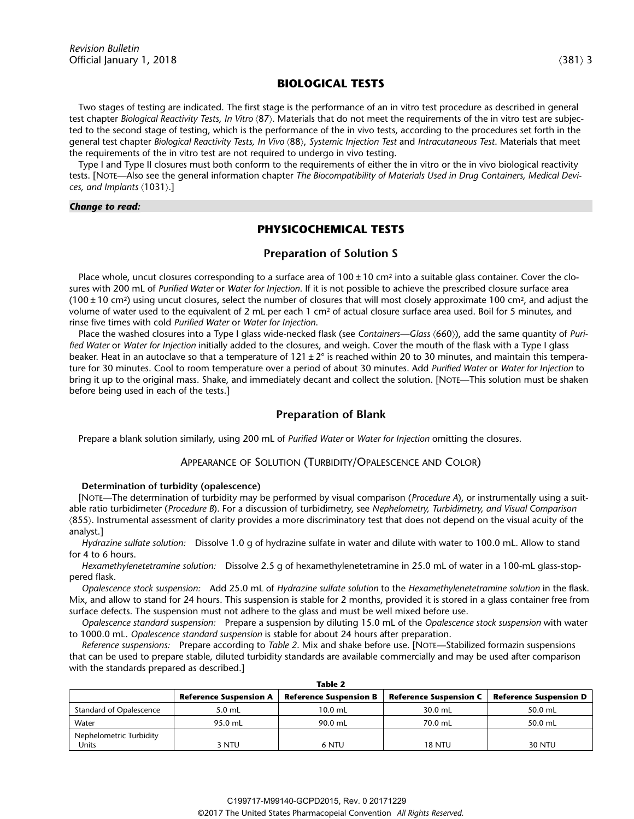## **BIOLOGICAL TESTS**

Two stages of testing are indicated. The first stage is the performance of an in vitro test procedure as described in general test chapter *Biological Reactivity Tests, In Vitro*  $\langle 87 \rangle$ . Materials that do not meet the requirements of the in vitro test are subjected to the second stage of testing, which is the performance of the in vivo tests, according to the procedures set forth in the general test chapter Biological Reactivity Tests, In Vivo (88), Systemic Injection Test and Intracutaneous Test. Materials that meet the requirements of the in vitro test are not required to undergo in vivo testing.

Type I and Type II closures must both conform to the requirements of either the in vitro or the in vivo biological reactivity tests. [NOTE—Also see the general information chapter *The Biocompatibility of Materials Used in Drug Containers, Medical Devices, and Implants*  $\langle 1031 \rangle$ .]

#### *Change to read:*

## **PHYSICOCHEMICAL TESTS**

## **Preparation of Solution S**

Place whole, uncut closures corresponding to a surface area of  $100 \pm 10$  cm<sup>2</sup> into a suitable glass container. Cover the closures with 200 mL of *Purified Water* or *Water for Injection*. If it is not possible to achieve the prescribed closure surface area  $(100 \pm 10 \text{ cm}^2)$  using uncut closures, select the number of closures that will most closely approximate 100 cm<sup>2</sup>, and adjust the volume of water used to the equivalent of 2 mL per each 1 cm2 of actual closure surface area used. Boil for 5 minutes, and rinse five times with cold *Purified Water* or *Water for Injection*.

Place the washed closures into a Type I glass wide-necked flask (see Containers—Glass  $(660)$ ), add the same quantity of *Purified Water* or *Water for Injection* initially added to the closures, and weigh. Cover the mouth of the flask with a Type I glass beaker. Heat in an autoclave so that a temperature of  $121 \pm 2^\circ$  is reached within 20 to 30 minutes, and maintain this temperature for 30 minutes. Cool to room temperature over a period of about 30 minutes. Add *Purified Water* or *Water for Injection* to bring it up to the original mass. Shake, and immediately decant and collect the solution. [NOTE—This solution must be shaken before being used in each of the tests.]

## **Preparation of Blank**

Prepare a blank solution similarly, using 200 mL of *Purified Water* or *Water for Injection* omitting the closures.

## APPEARANCE OF SOLUTION (TURBIDITY/OPALESCENCE AND COLOR)

### **Determination of turbidity (opalescence)**

[NOTE—The determination of turbidity may be performed by visual comparison (*Procedure A*), or instrumentally using a suitable ratio turbidimeter (*Procedure B*). For a discussion of turbidimetry, see *Nephelometry, Turbidimetry, and Visual Comparison* (855). Instrumental assessment of clarity provides a more discriminatory test that does not depend on the visual acuity of the analyst.]

*Hydrazine sulfate solution:* Dissolve 1.0 g of hydrazine sulfate in water and dilute with water to 100.0 mL. Allow to stand for 4 to 6 hours.

*Hexamethylenetetramine solution:* Dissolve 2.5 g of hexamethylenetetramine in 25.0 mL of water in a 100-mL glass-stoppered flask.

*Opalescence stock suspension:* Add 25.0 mL of *Hydrazine sulfate solution* to the *Hexamethylenetetramine solution* in the flask. Mix, and allow to stand for 24 hours. This suspension is stable for 2 months, provided it is stored in a glass container free from surface defects. The suspension must not adhere to the glass and must be well mixed before use.

*Opalescence standard suspension:* Prepare a suspension by diluting 15.0 mL of the *Opalescence stock suspension* with water to 1000.0 mL. *Opalescence standard suspension* is stable for about 24 hours after preparation.

*Reference suspensions:* Prepare according to *Table 2*. Mix and shake before use. [NOTE—Stabilized formazin suspensions that can be used to prepare stable, diluted turbidity standards are available commercially and may be used after comparison with the standards prepared as described.]

| Table 2                 |                               |                               |                               |                               |  |  |
|-------------------------|-------------------------------|-------------------------------|-------------------------------|-------------------------------|--|--|
|                         | <b>Reference Suspension A</b> | <b>Reference Suspension B</b> | <b>Reference Suspension C</b> | <b>Reference Suspension D</b> |  |  |
| Standard of Opalescence | $5.0$ mL                      | $10.0$ mL                     | 30.0 mL                       | 50.0 mL                       |  |  |
| Water                   | 95.0 mL                       | 90.0 mL                       | 70.0 mL                       | 50.0 mL                       |  |  |
| Nephelometric Turbidity |                               |                               |                               |                               |  |  |
| Units                   | 3 NTU                         | 6 NTU                         | <b>18 NTU</b>                 | <b>30 NTU</b>                 |  |  |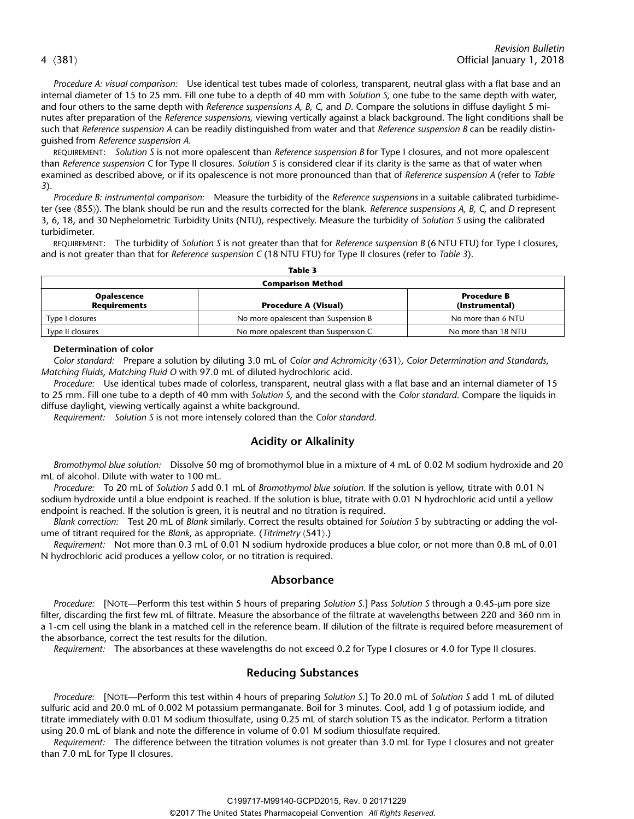*Procedure A: visual comparison:* Use identical test tubes made of colorless, transparent, neutral glass with a flat base and an internal diameter of 15 to 25 mm. Fill one tube to a depth of 40 mm with *Solution S,* one tube to the same depth with water, and four others to the same depth with *Reference suspensions A, B, C,* and *D*. Compare the solutions in diffuse daylight 5 minutes after preparation of the *Reference suspensions,* viewing vertically against a black background. The light conditions shall be such that *Reference suspension A* can be readily distinguished from water and that *Reference suspension B* can be readily distinguished from *Reference suspension A*.

REQUIREMENT: *Solution S* is not more opalescent than *Reference suspension B* for Type I closures, and not more opalescent than *Reference suspension C* for Type II closures. *Solution S* is considered clear if its clarity is the same as that of water when examined as described above, or if its opalescence is not more pronounced than that of *Reference suspension A* (refer to *Table 3*).

*Procedure B: instrumental comparison:* Measure the turbidity of the *Reference suspensions* in a suitable calibrated turbidimeter (see (855)). The blank should be run and the results corrected for the blank. *Reference suspensions A, B, C, and D* represent 3, 6, 18, and 30 Nephelometric Turbidity Units (NTU), respectively. Measure the turbidity of *Solution S* using the calibrated turbidimeter.

REQUIREMENT: The turbidity of *Solution S* is not greater than that for *Reference suspension B* (6 NTU FTU) for Type I closures, and is not greater than that for *Reference suspension C* (18 NTU FTU) for Type II closures (refer to *Table 3*).

| <b>Comparison Method</b>                  |                                      |                                      |  |  |
|-------------------------------------------|--------------------------------------|--------------------------------------|--|--|
| <b>Opalescence</b><br><b>Requirements</b> | Procedure A (Visual)                 | <b>Procedure B</b><br>(Instrumental) |  |  |
| Type I closures                           | No more opalescent than Suspension B | No more than 6 NTU                   |  |  |
| Type II closures                          | No more opalescent than Suspension C | No more than 18 NTU                  |  |  |

## **Table 3**

## **Determination of color**

*Color standard:* Prepare a solution by diluting 3.0 mL of *Color and Achromicity*  $\langle 631 \rangle$ , *Color Determination and Standards*, *Matching Fluids*, *Matching Fluid O* with 97.0 mL of diluted hydrochloric acid.

*Procedure:* Use identical tubes made of colorless, transparent, neutral glass with a flat base and an internal diameter of 15 to 25 mm. Fill one tube to a depth of 40 mm with *Solution S,* and the second with the *Color standard*. Compare the liquids in diffuse daylight, viewing vertically against a white background.

*Requirement: Solution S* is not more intensely colored than the *Color standard*.

## **Acidity or Alkalinity**

*Bromothymol blue solution:* Dissolve 50 mg of bromothymol blue in a mixture of 4 mL of 0.02 M sodium hydroxide and 20 mL of alcohol. Dilute with water to 100 mL.

*Procedure:* To 20 mL of *Solution S* add 0.1 mL of *Bromothymol blue solution*. If the solution is yellow, titrate with 0.01 N sodium hydroxide until a blue endpoint is reached. If the solution is blue, titrate with 0.01 N hydrochloric acid until a yellow endpoint is reached. If the solution is green, it is neutral and no titration is required.

*Blank correction:* Test 20 mL of *Blank* similarly. Correct the results obtained for *Solution S* by subtracting or adding the volume of titrant required for the *Blank*, as appropriate. (*Titrimetry*  $(541)$ .)

*Requirement:* Not more than 0.3 mL of 0.01 N sodium hydroxide produces a blue color, or not more than 0.8 mL of 0.01 N hydrochloric acid produces a yellow color, or no titration is required.

## **Absorbance**

*Procedure:* [NOTE—Perform this test within 5 hours of preparing *Solution S.*] Pass *Solution S* through a 0.45-µm pore size filter, discarding the first few mL of filtrate. Measure the absorbance of the filtrate at wavelengths between 220 and 360 nm in a 1-cm cell using the blank in a matched cell in the reference beam. If dilution of the filtrate is required before measurement of the absorbance, correct the test results for the dilution.

*Requirement:* The absorbances at these wavelengths do not exceed 0.2 for Type I closures or 4.0 for Type II closures.

## **Reducing Substances**

*Procedure:* [NOTE—Perform this test within 4 hours of preparing *Solution S*.] To 20.0 mL of *Solution S* add 1 mL of diluted sulfuric acid and 20.0 mL of 0.002 M potassium permanganate. Boil for 3 minutes. Cool, add 1 g of potassium iodide, and titrate immediately with 0.01 M sodium thiosulfate, using 0.25 mL of starch solution TS as the indicator. Perform a titration using 20.0 mL of blank and note the difference in volume of 0.01 M sodium thiosulfate required.

*Requirement:* The difference between the titration volumes is not greater than 3.0 mL for Type I closures and not greater than 7.0 mL for Type II closures.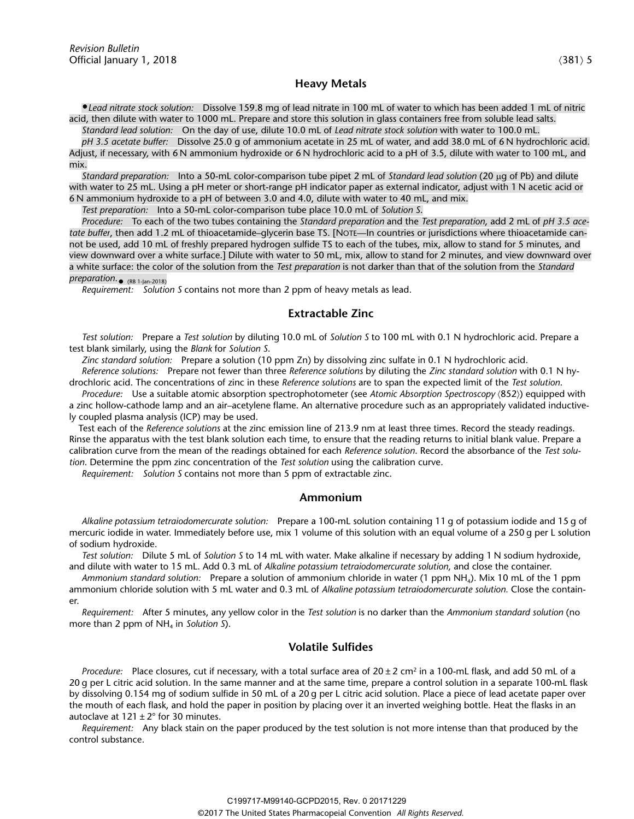## **Heavy Metals**

*Lead nitrate stock solution:* Dissolve 159.8 mg of lead nitrate in 100 mL of water to which has been added 1 mL of nitric acid, then dilute with water to 1000 mL. Prepare and store this solution in glass containers free from soluble lead salts.

*Standard lead solution:* On the day of use, dilute 10.0 mL of *Lead nitrate stock solution* with water to 100.0 mL. *pH 3.5 acetate buffer:* Dissolve 25.0 g of ammonium acetate in 25 mL of water, and add 38.0 mL of 6 N hydrochloric acid.

Adjust, if necessary, with 6 N ammonium hydroxide or 6 N hydrochloric acid to a pH of 3.5, dilute with water to 100 mL, and mix.

*Standard preparation:* Into a 50-mL color-comparison tube pipet 2 mL of *Standard lead solution* (20 μg of Pb) and dilute with water to 25 mL. Using a pH meter or short-range pH indicator paper as external indicator, adjust with 1 N acetic acid or 6 N ammonium hydroxide to a pH of between 3.0 and 4.0, dilute with water to 40 mL, and mix.

*Test preparation:* Into a 50-mL color-comparison tube place 10.0 mL of *Solution S*.

*Procedure:* To each of the two tubes containing the *Standard preparation* and the *Test preparation*, add 2 mL of *pH 3.5 acetate buffer*, then add 1.2 mL of thioacetamide–glycerin base TS. [NOTE—In countries or jurisdictions where thioacetamide cannot be used, add 10 mL of freshly prepared hydrogen sulfide TS to each of the tubes, mix, allow to stand for 5 minutes, and view downward over a white surface.] Dilute with water to 50 mL, mix, allow to stand for 2 minutes, and view downward over a white surface: the color of the solution from the *Test preparation* is not darker than that of the solution from the *Standard preparation*. (RB 1-Jan-2018)

*Requirement: Solution S* contains not more than 2 ppm of heavy metals as lead.

## **Extractable Zinc**

*Test solution:* Prepare a *Test solution* by diluting 10.0 mL of *Solution S* to 100 mL with 0.1 N hydrochloric acid. Prepare a test blank similarly, using the *Blank* for *Solution S*.

*Zinc standard solution:* Prepare a solution (10 ppm Zn) by dissolving zinc sulfate in 0.1 N hydrochloric acid.

*Reference solutions:* Prepare not fewer than three *Reference solutions* by diluting the *Zinc standard solution* with 0.1 N hydrochloric acid. The concentrations of zinc in these *Reference solutions* are to span the expected limit of the *Test solution*.

*Procedure:* Use a suitable atomic absorption spectrophotometer (see Atomic Absorption Spectroscopy (852)) equipped with a zinc hollow-cathode lamp and an air–acetylene flame. An alternative procedure such as an appropriately validated inductively coupled plasma analysis (ICP) may be used.

Test each of the *Reference solutions* at the zinc emission line of 213.9 nm at least three times. Record the steady readings. Rinse the apparatus with the test blank solution each time, to ensure that the reading returns to initial blank value. Prepare a calibration curve from the mean of the readings obtained for each *Reference solution*. Record the absorbance of the *Test solution*. Determine the ppm zinc concentration of the *Test solution* using the calibration curve.

*Requirement: Solution S* contains not more than 5 ppm of extractable zinc.

## **Ammonium**

*Alkaline potassium tetraiodomercurate solution:* Prepare a 100-mL solution containing 11 g of potassium iodide and 15 g of mercuric iodide in water. Immediately before use, mix 1 volume of this solution with an equal volume of a 250 g per L solution of sodium hydroxide.

*Test solution:* Dilute 5 mL of *Solution S* to 14 mL with water. Make alkaline if necessary by adding 1 N sodium hydroxide, and dilute with water to 15 mL. Add 0.3 mL of *Alkaline potassium tetraiodomercurate solution*, and close the container.

*Ammonium standard solution:* Prepare a solution of ammonium chloride in water (1 ppm NH<sup>4</sup> ). Mix 10 mL of the 1 ppm ammonium chloride solution with 5 mL water and 0.3 mL of *Alkaline potassium tetraiodomercurate solution.* Close the container.

*Requirement:* After 5 minutes, any yellow color in the *Test solution* is no darker than the *Ammonium standard solution* (no more than 2 ppm of NH<sub>4</sub> in *Solution S*).

## **Volatile Sulfides**

*Procedure:* Place closures, cut if necessary, with a total surface area of 20 ± 2 cm<sup>2</sup> in a 100-mL flask, and add 50 mL of a 20 g per L citric acid solution. In the same manner and at the same time, prepare a control solution in a separate 100-mL flask by dissolving 0.154 mg of sodium sulfide in 50 mL of a 20 g per L citric acid solution. Place a piece of lead acetate paper over the mouth of each flask, and hold the paper in position by placing over it an inverted weighing bottle. Heat the flasks in an autoclave at  $121 \pm 2^{\circ}$  for 30 minutes.

*Requirement:* Any black stain on the paper produced by the test solution is not more intense than that produced by the control substance.